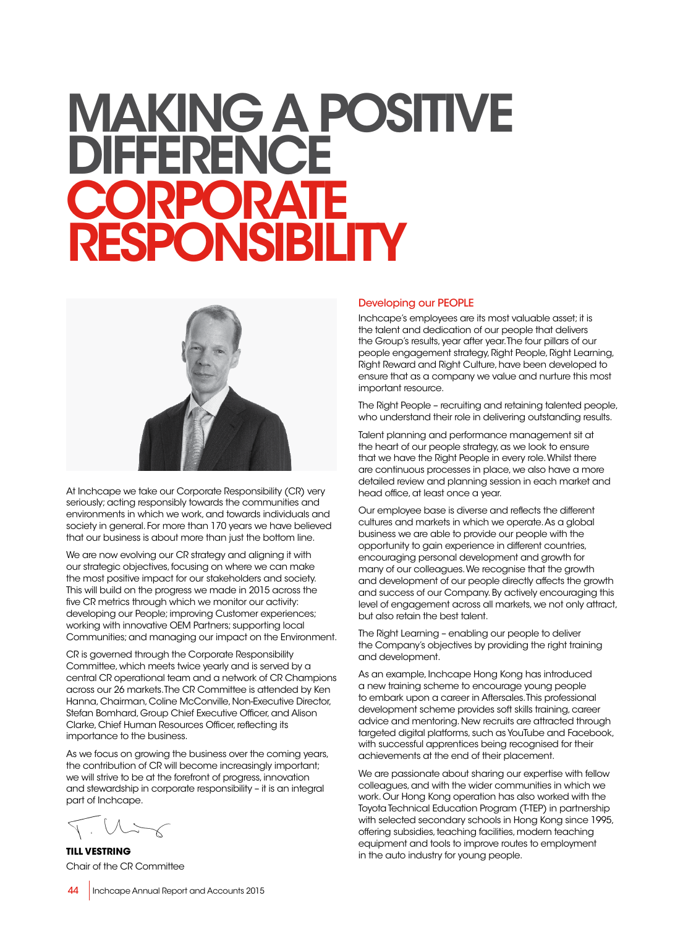# MAKING A POSITIVE **DIFFERENCE CORPORATE RESPONSIBILITY**



At Inchcape we take our Corporate Responsibility (CR) very seriously; acting responsibly towards the communities and environments in which we work, and towards individuals and society in general. For more than 170 years we have believed that our business is about more than just the bottom line.

We are now evolving our CR strategy and aligning it with our strategic objectives, focusing on where we can make the most positive impact for our stakeholders and society. This will build on the progress we made in 2015 across the five CR metrics through which we monitor our activity: developing our People; improving Customer experiences; working with innovative OEM Partners; supporting local Communities; and managing our impact on the Environment.

CR is governed through the Corporate Responsibility Committee, which meets twice yearly and is served by a central CR operational team and a network of CR Champions across our 26 markets. The CR Committee is attended by Ken Hanna, Chairman, Coline McConville, Non-Executive Director, Stefan Bomhard, Group Chief Executive Officer, and Alison Clarke, Chief Human Resources Officer, reflecting its importance to the business.

As we focus on growing the business over the coming years, the contribution of CR will become increasingly important; we will strive to be at the forefront of progress, innovation and stewardship in corporate responsibility – it is an integral part of Inchcape.

 $\sim$   $M \rightarrow \sim$ 

**TILL VESTRING** Chair of the CR Committee

#### Developing our PEOPLE

Inchcape's employees are its most valuable asset; it is the talent and dedication of our people that delivers the Group's results, year after year. The four pillars of our people engagement strategy, Right People, Right Learning, Right Reward and Right Culture, have been developed to ensure that as a company we value and nurture this most important resource.

The Right People – recruiting and retaining talented people, who understand their role in delivering outstanding results.

Talent planning and performance management sit at the heart of our people strategy, as we look to ensure that we have the Right People in every role. Whilst there are continuous processes in place, we also have a more detailed review and planning session in each market and head office, at least once a year.

Our employee base is diverse and reflects the different cultures and markets in which we operate. As a global business we are able to provide our people with the opportunity to gain experience in different countries, encouraging personal development and growth for many of our colleagues. We recognise that the growth and development of our people directly affects the growth and success of our Company. By actively encouraging this level of engagement across all markets, we not only attract, but also retain the best talent.

The Right Learning – enabling our people to deliver the Company's objectives by providing the right training and development.

As an example, Inchcape Hong Kong has introduced a new training scheme to encourage young people to embark upon a career in Aftersales. This professional development scheme provides soft skills training, career advice and mentoring. New recruits are attracted through targeted digital platforms, such as YouTube and Facebook, with successful apprentices being recognised for their achievements at the end of their placement.

We are passionate about sharing our expertise with fellow colleagues, and with the wider communities in which we work. Our Hong Kong operation has also worked with the Toyota Technical Education Program (T-TEP) in partnership with selected secondary schools in Hong Kong since 1995, offering subsidies, teaching facilities, modern teaching equipment and tools to improve routes to employment in the auto industry for young people.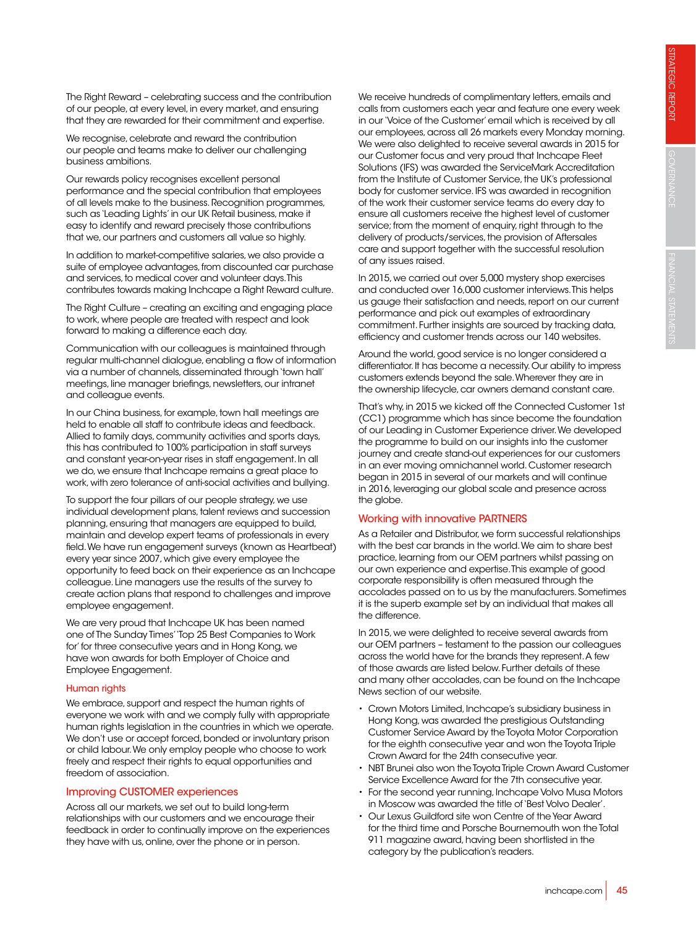The Right Reward – celebrating success and the contribution of our people, at every level, in every market, and ensuring that they are rewarded for their commitment and expertise.

We recognise, celebrate and reward the contribution our people and teams make to deliver our challenging business ambitions.

Our rewards policy recognises excellent personal performance and the special contribution that employees of all levels make to the business. Recognition programmes, such as 'Leading Lights' in our UK Retail business, make it easy to identify and reward precisely those contributions that we, our partners and customers all value so highly.

In addition to market-competitive salaries, we also provide a suite of employee advantages, from discounted car purchase and services, to medical cover and volunteer days. This contributes towards making Inchcape a Right Reward culture.

The Right Culture – creating an exciting and engaging place to work, where people are treated with respect and look forward to making a difference each day.

Communication with our colleagues is maintained through regular multi-channel dialogue, enabling a flow of information via a number of channels, disseminated through 'town hall' meetings, line manager briefings, newsletters, our intranet and colleague events.

In our China business, for example, town hall meetings are held to enable all staff to contribute ideas and feedback. Allied to family days, community activities and sports days, this has contributed to 100% participation in staff surveys and constant year-on-year rises in staff engagement. In all we do, we ensure that Inchcape remains a great place to work, with zero tolerance of anti-social activities and bullying.

To support the four pillars of our people strategy, we use individual development plans, talent reviews and succession planning, ensuring that managers are equipped to build, maintain and develop expert teams of professionals in every field. We have run engagement surveys (known as Heartbeat) every year since 2007, which give every employee the opportunity to feed back on their experience as an Inchcape colleague. Line managers use the results of the survey to create action plans that respond to challenges and improve employee engagement.

We are very proud that Inchcape UK has been named one of The Sunday Times' 'Top 25 Best Companies to Work for' for three consecutive years and in Hong Kong, we have won awards for both Employer of Choice and Employee Engagement.

## Human rights

We embrace, support and respect the human rights of everyone we work with and we comply fully with appropriate human rights legislation in the countries in which we operate. We don't use or accept forced, bonded or involuntary prison or child labour. We only employ people who choose to work freely and respect their rights to equal opportunities and freedom of association.

## Improving CUSTOMER experiences

Across all our markets, we set out to build long-term relationships with our customers and we encourage their feedback in order to continually improve on the experiences they have with us, online, over the phone or in person.

We receive hundreds of complimentary letters, emails and calls from customers each year and feature one every week in our 'Voice of the Customer' email which is received by all our employees, across all 26 markets every Monday morning. We were also delighted to receive several awards in 2015 for our Customer focus and very proud that Inchcape Fleet Solutions (IFS) was awarded the ServiceMark Accreditation from the Institute of Customer Service, the UK's professional body for customer service. IFS was awarded in recognition of the work their customer service teams do every day to ensure all customers receive the highest level of customer service; from the moment of enquiry, right through to the delivery of products/services, the provision of Aftersales care and support together with the successful resolution of any issues raised.

In 2015, we carried out over 5,000 mystery shop exercises and conducted over 16,000 customer interviews. This helps us gauge their satisfaction and needs, report on our current performance and pick out examples of extraordinary commitment. Further insights are sourced by tracking data, efficiency and customer trends across our 140 websites.

Around the world, good service is no longer considered a differentiator. It has become a necessity. Our ability to impress customers extends beyond the sale. Wherever they are in the ownership lifecycle, car owners demand constant care.

That's why, in 2015 we kicked off the Connected Customer 1st (CC1) programme which has since become the foundation of our Leading in Customer Experience driver. We developed the programme to build on our insights into the customer journey and create stand-out experiences for our customers in an ever moving omnichannel world. Customer research began in 2015 in several of our markets and will continue in 2016, leveraging our global scale and presence across the globe.

# Working with innovative PARTNERS

As a Retailer and Distributor, we form successful relationships with the best car brands in the world. We aim to share best practice, learning from our OEM partners whilst passing on our own experience and expertise. This example of good corporate responsibility is often measured through the accolades passed on to us by the manufacturers. Sometimes it is the superb example set by an individual that makes all the difference.

In 2015, we were delighted to receive several awards from our OEM partners – testament to the passion our colleagues across the world have for the brands they represent. A few of those awards are listed below. Further details of these and many other accolades, can be found on the Inchcape News section of our website.

- Crown Motors Limited, Inchcape's subsidiary business in Hong Kong, was awarded the prestigious Outstanding Customer Service Award by the Toyota Motor Corporation for the eighth consecutive year and won the Toyota Triple Crown Award for the 24th consecutive year.
- NBT Brunei also won the Toyota Triple Crown Award Customer Service Excellence Award for the 7th consecutive year.
- For the second year running, Inchcape Volvo Musa Motors in Moscow was awarded the title of 'Best Volvo Dealer'.
- Our Lexus Guildford site won Centre of the Year Award for the third time and Porsche Bournemouth won the Total 911 magazine award, having been shortlisted in the category by the publication's readers.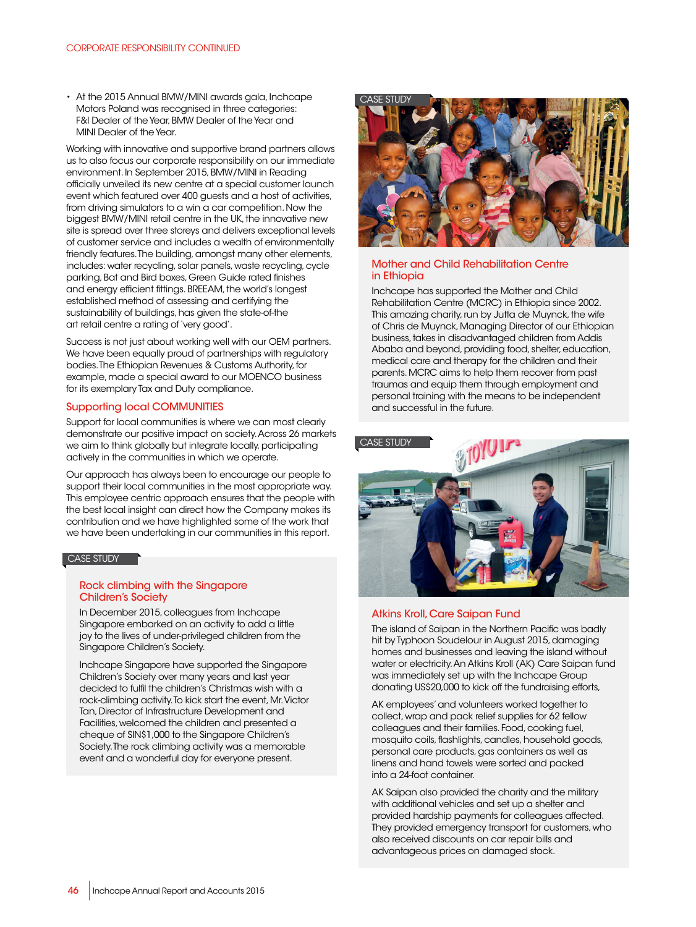• At the 2015 Annual BMW/MINI awards gala, Inchcape Motors Poland was recognised in three categories: F&I Dealer of the Year, BMW Dealer of the Year and MINI Dealer of the Year.

Working with innovative and supportive brand partners allows us to also focus our corporate responsibility on our immediate environment. In September 2015, BMW/MINI in Reading officially unveiled its new centre at a special customer launch event which featured over 400 guests and a host of activities, from driving simulators to a win a car competition. Now the biggest BMW/MINI retail centre in the UK, the innovative new site is spread over three storeys and delivers exceptional levels of customer service and includes a wealth of environmentally friendly features. The building, amongst many other elements, includes: water recycling, solar panels, waste recycling, cycle parking, Bat and Bird boxes, Green Guide rated finishes and energy efficient fittings. BREEAM, the world's longest established method of assessing and certifying the sustainability of buildings, has given the state-of-the art retail centre a rating of 'very good'.

Success is not just about working well with our OEM partners. We have been equally proud of partnerships with regulatory bodies. The Ethiopian Revenues & Customs Authority, for example, made a special award to our MOENCO business for its exemplary Tax and Duty compliance.

#### Supporting local COMMUNITIES

Support for local communities is where we can most clearly demonstrate our positive impact on society. Across 26 markets we aim to think globally but integrate locally, participating actively in the communities in which we operate.

Our approach has always been to encourage our people to support their local communities in the most appropriate way. This employee centric approach ensures that the people with the best local insight can direct how the Company makes its contribution and we have highlighted some of the work that we have been undertaking in our communities in this report.

#### CASE STUDY

#### Rock climbing with the Singapore Children's Society

In December 2015, colleagues from Inchcape Singapore embarked on an activity to add a little joy to the lives of under-privileged children from the Singapore Children's Society.

Inchcape Singapore have supported the Singapore Children's Society over many years and last year decided to fulfil the children's Christmas wish with a rock-climbing activity. To kick start the event, Mr. Victor Tan, Director of Infrastructure Development and Facilities, welcomed the children and presented a cheque of SIN\$1,000 to the Singapore Children's Society. The rock climbing activity was a memorable event and a wonderful day for everyone present.



## Mother and Child Rehabilitation Centre in Ethiopia

Inchcape has supported the Mother and Child Rehabilitation Centre (MCRC) in Ethiopia since 2002. This amazing charity, run by Jutta de Muynck, the wife of Chris de Muynck, Managing Director of our Ethiopian business, takes in disadvantaged children from Addis Ababa and beyond, providing food, shelter, education, medical care and therapy for the children and their parents. MCRC aims to help them recover from past traumas and equip them through employment and personal training with the means to be independent and successful in the future.





## Atkins Kroll, Care Saipan Fund

The island of Saipan in the Northern Pacific was badly hit by Typhoon Soudelour in August 2015, damaging homes and businesses and leaving the island without water or electricity. An Atkins Kroll (AK) Care Saipan fund was immediately set up with the Inchcape Group donating US\$20,000 to kick off the fundraising efforts,

AK employees' and volunteers worked together to collect, wrap and pack relief supplies for 62 fellow colleagues and their families. Food, cooking fuel, mosquito coils, flashlights, candles, household goods, personal care products, gas containers as well as linens and hand towels were sorted and packed into a 24-foot container.

AK Saipan also provided the charity and the military with additional vehicles and set up a shelter and provided hardship payments for colleagues affected. They provided emergency transport for customers, who also received discounts on car repair bills and advantageous prices on damaged stock.